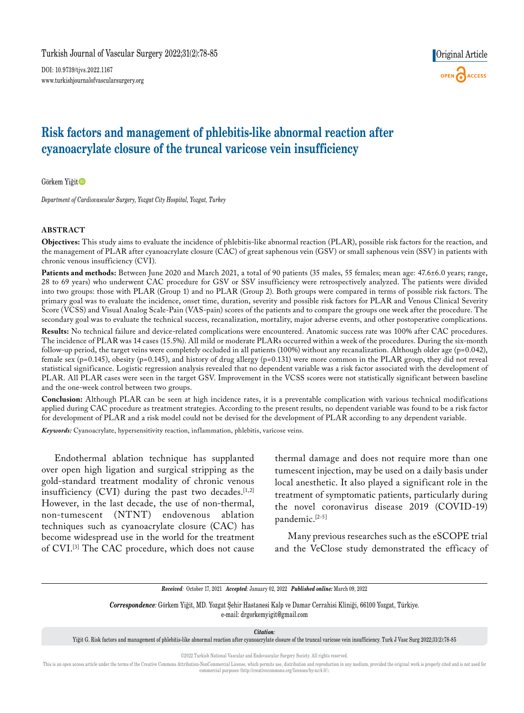DOI: 10.9739/tjvs.2022.1167 www.turkishjournalofvascularsurgery.org



# **Risk factors and management of phlebitis-like abnormal reaction after cyanoacrylate closure of the truncal varicose vein insufficiency**

Görkem Yiğit

*Department of Cardiovascular Surgery, Yozgat City Hospital, Yozgat, Turkey*

#### **ABSTRACT**

**Objectives:** This study aims to evaluate the incidence of phlebitis-like abnormal reaction (PLAR), possible risk factors for the reaction, and the management of PLAR after cyanoacrylate closure (CAC) of great saphenous vein (GSV) or small saphenous vein (SSV) in patients with chronic venous insufficiency (CVI).

Patients and methods: Between June 2020 and March 2021, a total of 90 patients (35 males, 55 females; mean age: 47.6±6.0 years; range, 28 to 69 years) who underwent CAC procedure for GSV or SSV insufficiency were retrospectively analyzed. The patients were divided into two groups: those with PLAR (Group 1) and no PLAR (Group 2). Both groups were compared in terms of possible risk factors. The primary goal was to evaluate the incidence, onset time, duration, severity and possible risk factors for PLAR and Venous Clinical Severity Score (VCSS) and Visual Analog Scale-Pain (VAS-pain) scores of the patients and to compare the groups one week after the procedure. The secondary goal was to evaluate the technical success, recanalization, mortality, major adverse events, and other postoperative complications.

**Results:** No technical failure and device-related complications were encountered. Anatomic success rate was 100% after CAC procedures. The incidence of PLAR was 14 cases (15.5%). All mild or moderate PLARs occurred within a week of the procedures. During the six-month follow-up period, the target veins were completely occluded in all patients (100%) without any recanalization. Although older age ( $p=0.042$ ), female sex (p=0.145), obesity (p=0.145), and history of drug allergy (p=0.131) were more common in the PLAR group, they did not reveal statistical significance. Logistic regression analysis revealed that no dependent variable was a risk factor associated with the development of PLAR. All PLAR cases were seen in the target GSV. Improvement in the VCSS scores were not statistically significant between baseline and the one-week control between two groups.

**Conclusion:** Although PLAR can be seen at high incidence rates, it is a preventable complication with various technical modifications applied during CAC procedure as treatment strategies. According to the present results, no dependent variable was found to be a risk factor for development of PLAR and a risk model could not be devised for the development of PLAR according to any dependent variable.

*Keywords:* Cyanoacrylate, hypersensitivity reaction, inflammation, phlebitis, varicose veins.

Endothermal ablation technique has supplanted over open high ligation and surgical stripping as the gold-standard treatment modality of chronic venous insufficiency (CVI) during the past two decades. $[1,2]$ However, in the last decade, the use of non-thermal, non-tumescent (NTNT) endovenous ablation techniques such as cyanoacrylate closure (CAC) has become widespread use in the world for the treatment of CVI.[3] The CAC procedure, which does not cause thermal damage and does not require more than one tumescent injection, may be used on a daily basis under local anesthetic. It also played a significant role in the treatment of symptomatic patients, particularly during the novel coronavirus disease 2019 (COVID-19) pandemic.[2-5]

Many previous researches such as the eSCOPE trial and the VeClose study demonstrated the efficacy of

*Received:* October 17, 2021 *Accepted:* January 02, 2022 *Published online:* March 09, 2022

*Correspondence:* Görkem Yiğit, MD. Yozgat Şehir Hastanesi Kalp ve Damar Cerrahisi Kliniği, 66100 Yozgat, Türkiye. e-mail: drgorkemyigit@gmail.com

*Citation:*

Yiğit G. Risk factors and management of phlebitis-like abnormal reaction after cyanoacrylate closure of the truncal varicose vein insufficiency. Turk J Vasc Surg 2022;31(2):78-85

©2022 Turkish National Vascular and Endovascular Surgery Society. All rights reserved.

This is an open access article under the terms of the Creative Commons Attribution-NonCommercial License, which permits use, distribution and reproduction in any medium, provided the original work is properly cited and is commercial purposes (http://creativecommons.org/licenses/by-nc/4.0/).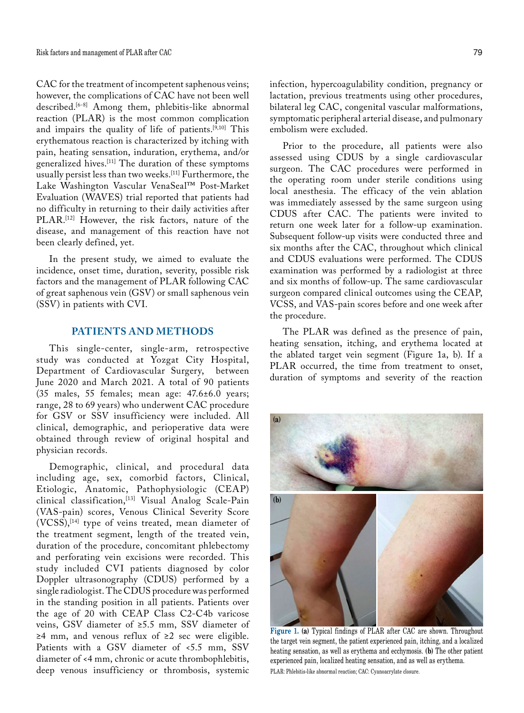CAC for the treatment of incompetent saphenous veins; however, the complications of CAC have not been well described.[6-8] Among them, phlebitis-like abnormal reaction (PLAR) is the most common complication and impairs the quality of life of patients.[9,10] This erythematous reaction is characterized by itching with pain, heating sensation, induration, erythema, and/or generalized hives.[11] The duration of these symptoms usually persist less than two weeks.[11] Furthermore, the Lake Washington Vascular VenaSeal™ Post-Market Evaluation (WAVES) trial reported that patients had no difficulty in returning to their daily activities after PLAR.<sup>[12]</sup> However, the risk factors, nature of the disease, and management of this reaction have not been clearly defined, yet.

In the present study, we aimed to evaluate the incidence, onset time, duration, severity, possible risk factors and the management of PLAR following CAC of great saphenous vein (GSV) or small saphenous vein (SSV) in patients with CVI.

# **PATIENTS AND METHODS**

This single-center, single-arm, retrospective study was conducted at Yozgat City Hospital, Department of Cardiovascular Surgery, between June 2020 and March 2021. A total of 90 patients (35 males, 55 females; mean age: 47.6±6.0 years; range, 28 to 69 years) who underwent CAC procedure for GSV or SSV insufficiency were included. All clinical, demographic, and perioperative data were obtained through review of original hospital and physician records.

Demographic, clinical, and procedural data including age, sex, comorbid factors, Clinical, Etiologic, Anatomic, Pathophysiologic (CEAP) clinical classification,[13] Visual Analog Scale-Pain (VAS-pain) scores, Venous Clinical Severity Score (VCSS),[14] type of veins treated, mean diameter of the treatment segment, length of the treated vein, duration of the procedure, concomitant phlebectomy and perforating vein excisions were recorded. This study included CVI patients diagnosed by color Doppler ultrasonography (CDUS) performed by a single radiologist. The CDUS procedure was performed in the standing position in all patients. Patients over the age of 20 with CEAP Class C2-C4b varicose veins, GSV diameter of ≥5.5 mm, SSV diameter of ≥4 mm, and venous reflux of ≥2 sec were eligible. Patients with a GSV diameter of <5.5 mm, SSV diameter of <4 mm, chronic or acute thrombophlebitis, deep venous insufficiency or thrombosis, systemic

infection, hypercoagulability condition, pregnancy or lactation, previous treatments using other procedures, bilateral leg CAC, congenital vascular malformations, symptomatic peripheral arterial disease, and pulmonary embolism were excluded.

Prior to the procedure, all patients were also assessed using CDUS by a single cardiovascular surgeon. The CAC procedures were performed in the operating room under sterile conditions using local anesthesia. The efficacy of the vein ablation was immediately assessed by the same surgeon using CDUS after CAC. The patients were invited to return one week later for a follow-up examination. Subsequent follow-up visits were conducted three and six months after the CAC, throughout which clinical and CDUS evaluations were performed. The CDUS examination was performed by a radiologist at three and six months of follow-up. The same cardiovascular surgeon compared clinical outcomes using the CEAP, VCSS, and VAS-pain scores before and one week after the procedure.

The PLAR was defined as the presence of pain, heating sensation, itching, and erythema located at the ablated target vein segment (Figure 1a, b). If a PLAR occurred, the time from treatment to onset, duration of symptoms and severity of the reaction

**Figure 1. (a)** Typical findings of PLAR after CAC are shown. Throughout the target vein segment, the patient experienced pain, itching, and a localized heating sensation, as well as erythema and ecchymosis. **(b)** The other patient experienced pain, localized heating sensation, and as well as erythema. PLAR: Phlebitis-like abnormal reaction; CAC: Cyanoacrylate closure.

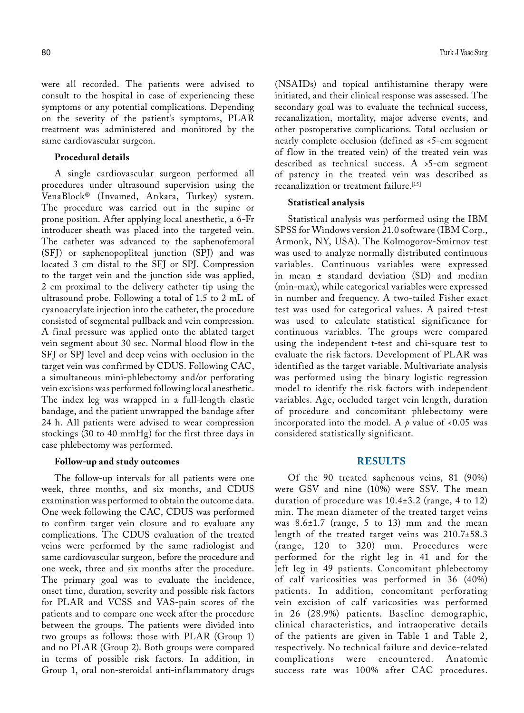were all recorded. The patients were advised to consult to the hospital in case of experiencing these symptoms or any potential complications. Depending on the severity of the patient's symptoms, PLAR treatment was administered and monitored by the same cardiovascular surgeon.

#### **Procedural details**

A single cardiovascular surgeon performed all procedures under ultrasound supervision using the VenaBlock® (Invamed, Ankara, Turkey) system. The procedure was carried out in the supine or prone position. After applying local anesthetic, a 6-Fr introducer sheath was placed into the targeted vein. The catheter was advanced to the saphenofemoral (SFJ) or saphenopopliteal junction (SPJ) and was located 3 cm distal to the SFJ or SPJ. Compression to the target vein and the junction side was applied, 2 cm proximal to the delivery catheter tip using the ultrasound probe. Following a total of 1.5 to 2 mL of cyanoacrylate injection into the catheter, the procedure consisted of segmental pullback and vein compression. A final pressure was applied onto the ablated target vein segment about 30 sec. Normal blood flow in the SFJ or SPJ level and deep veins with occlusion in the target vein was confirmed by CDUS. Following CAC, a simultaneous mini-phlebectomy and/or perforating vein excisions was performed following local anesthetic. The index leg was wrapped in a full-length elastic bandage, and the patient unwrapped the bandage after 24 h. All patients were advised to wear compression stockings (30 to 40 mmHg) for the first three days in case phlebectomy was performed.

### **Follow-up and study outcomes**

The follow-up intervals for all patients were one week, three months, and six months, and CDUS examination was performed to obtain the outcome data. One week following the CAC, CDUS was performed to confirm target vein closure and to evaluate any complications. The CDUS evaluation of the treated veins were performed by the same radiologist and same cardiovascular surgeon, before the procedure and one week, three and six months after the procedure. The primary goal was to evaluate the incidence, onset time, duration, severity and possible risk factors for PLAR and VCSS and VAS-pain scores of the patients and to compare one week after the procedure between the groups. The patients were divided into two groups as follows: those with PLAR (Group 1) and no PLAR (Group 2). Both groups were compared in terms of possible risk factors. In addition, in Group 1, oral non-steroidal anti-inflammatory drugs

(NSAIDs) and topical antihistamine therapy were initiated, and their clinical response was assessed. The secondary goal was to evaluate the technical success, recanalization, mortality, major adverse events, and other postoperative complications. Total occlusion or nearly complete occlusion (defined as <5-cm segment of flow in the treated vein) of the treated vein was described as technical success. A >5-cm segment of patency in the treated vein was described as recanalization or treatment failure.[15]

#### **Statistical analysis**

Statistical analysis was performed using the IBM SPSS for Windows version 21.0 software (IBM Corp., Armonk, NY, USA). The Kolmogorov-Smirnov test was used to analyze normally distributed continuous variables. Continuous variables were expressed in mean ± standard deviation (SD) and median (min-max), while categorical variables were expressed in number and frequency. A two-tailed Fisher exact test was used for categorical values. A paired t-test was used to calculate statistical significance for continuous variables. The groups were compared using the independent t-test and chi-square test to evaluate the risk factors. Development of PLAR was identified as the target variable. Multivariate analysis was performed using the binary logistic regression model to identify the risk factors with independent variables. Age, occluded target vein length, duration of procedure and concomitant phlebectomy were incorporated into the model. A  $\rho$  value of <0.05 was considered statistically significant.

### **RESULTS**

Of the 90 treated saphenous veins, 81 (90%) were GSV and nine (10%) were SSV. The mean duration of procedure was 10.4±3.2 (range, 4 to 12) min. The mean diameter of the treated target veins was 8.6±1.7 (range, 5 to 13) mm and the mean length of the treated target veins was 210.7±58.3 (range, 120 to 320) mm. Procedures were performed for the right leg in 41 and for the left leg in 49 patients. Concomitant phlebectomy of calf varicosities was performed in 36 (40%) patients. In addition, concomitant perforating vein excision of calf varicosities was performed in 26 (28.9%) patients. Baseline demographic, clinical characteristics, and intraoperative details of the patients are given in Table 1 and Table 2, respectively. No technical failure and device-related complications were encountered. success rate was 100% after CAC procedures.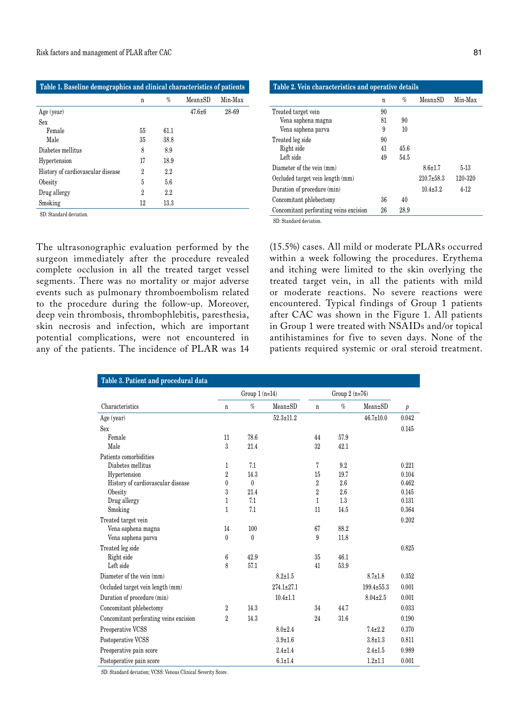| Table 1. Baseline demographics and clinical characteristics of patients |    |         |               |         |  |  |
|-------------------------------------------------------------------------|----|---------|---------------|---------|--|--|
|                                                                         | n  | $\%$    | $Mean \pm SD$ | Min-Max |  |  |
| Age (year)                                                              |    |         | $47.6 \pm 6$  | 28-69   |  |  |
| Sex                                                                     |    |         |               |         |  |  |
| Female                                                                  | 55 | 61.1    |               |         |  |  |
| Male                                                                    | 35 | 38.8    |               |         |  |  |
| Diabetes mellitus                                                       | 8  | 8.9     |               |         |  |  |
| Hypertension                                                            | 17 | 18.9    |               |         |  |  |
| History of cardiovascular disease                                       | 2  | $2.2\,$ |               |         |  |  |
| Obesity                                                                 | 5  | 5.6     |               |         |  |  |
| Drug allergy                                                            | 2  | 2.2     |               |         |  |  |
| Smoking                                                                 | 12 | 13.3    |               |         |  |  |

SD: Standard deviation.

The ultrasonographic evaluation performed by the surgeon immediately after the procedure revealed complete occlusion in all the treated target vessel segments. There was no mortality or major adverse events such as pulmonary thromboembolism related to the procedure during the follow-up. Moreover, deep vein thrombosis, thrombophlebitis, paresthesia, skin necrosis and infection, which are important potential complications, were not encountered in any of the patients. The incidence of PLAR was 14

| Table 2. Vein characteristics and operative details |    |      |                  |         |  |  |  |
|-----------------------------------------------------|----|------|------------------|---------|--|--|--|
|                                                     | n  | $\%$ | $Mean \pm SD$    | Min-Max |  |  |  |
| Treated target vein                                 | 90 |      |                  |         |  |  |  |
| Vena saphena magna                                  | 81 | 90   |                  |         |  |  |  |
| Vena saphena parva                                  | 9  | 10   |                  |         |  |  |  |
| Treated leg side                                    | 90 |      |                  |         |  |  |  |
| Right side                                          | 41 | 45.6 |                  |         |  |  |  |
| Left side                                           | 49 | 54.5 |                  |         |  |  |  |
| Diameter of the vein (mm)                           |    |      | $8.6 \pm 1.7$    | $5-13$  |  |  |  |
| Occluded target vein length (mm)                    |    |      | $210.7 \pm 58.3$ | 120-320 |  |  |  |
| Duration of procedure (min)                         |    |      | $10.4 + 3.2$     | 4-12    |  |  |  |
| Concomitant phlebectomy                             | 36 | 40   |                  |         |  |  |  |
| Concomitant perforating veins excision              | 26 | 28.9 |                  |         |  |  |  |

SD: Standard deviation.

(15.5%) cases. All mild or moderate PLARs occurred within a week following the procedures. Erythema and itching were limited to the skin overlying the treated target vein, in all the patients with mild or moderate reactions. No severe reactions were encountered. Typical findings of Group 1 patients after CAC was shown in the Figure 1. All patients in Group 1 were treated with NSAIDs and/or topical antihistamines for five to seven days. None of the patients required systemic or oral steroid treatment.

| Table 3. Patient and procedural data   |                 |              |                  |                |      |                  |                  |  |  |  |
|----------------------------------------|-----------------|--------------|------------------|----------------|------|------------------|------------------|--|--|--|
|                                        | Group $1(n=14)$ |              |                  | Group 2 (n=76) |      |                  |                  |  |  |  |
| Characteristics                        | $\mathbf n$     | $\%$         | Mean±SD          | $\mathbf n$    | $\%$ | $Mean \pm SD$    | $\boldsymbol{p}$ |  |  |  |
| Age (year)                             |                 |              | $52.3 \pm 11.2$  |                |      | $46.7 \pm 10.0$  | 0.042            |  |  |  |
| Sex                                    |                 |              |                  |                |      |                  | 0.145            |  |  |  |
| Female                                 | 11              | 78.6         |                  | 44             | 57.9 |                  |                  |  |  |  |
| Male                                   | 3               | 21.4         |                  | 32             | 42.1 |                  |                  |  |  |  |
| Patients comorbidities                 |                 |              |                  |                |      |                  |                  |  |  |  |
| Diabetes mellitus                      | $\mathbf{1}$    | 7.1          |                  | 7              | 9.2  |                  | 0.221            |  |  |  |
| Hypertension                           | $\overline{2}$  | 14.3         |                  | 15             | 19.7 |                  | 0.104            |  |  |  |
| History of cardiovascular disease      | $\bf{0}$        | $\theta$     |                  | $\overline{2}$ | 2.6  |                  | 0.462            |  |  |  |
| Obesity                                | 3               | 21.4         |                  | $\overline{2}$ | 2.6  |                  | 0.145            |  |  |  |
| Drug allergy                           | $\mathbf{1}$    | 7.1          |                  | 1              | 1.3  |                  | 0.131            |  |  |  |
| Smoking                                | $\mathbf{1}$    | 7.1          |                  | 11             | 14.5 |                  | 0.364            |  |  |  |
| Treated target vein                    |                 |              |                  |                |      |                  | 0.202            |  |  |  |
| Vena saphena magna                     | 14              | 100          |                  | 67             | 88.2 |                  |                  |  |  |  |
| Vena saphena parva                     | $\theta$        | $\mathbf{0}$ |                  | 9              | 11.8 |                  |                  |  |  |  |
| Treated leg side                       |                 |              |                  |                |      |                  | 0.825            |  |  |  |
| Right side                             | 6               | 42.9         |                  | 35             | 46.1 |                  |                  |  |  |  |
| Left side                              | 8               | 57.1         |                  | 41             | 53.9 |                  |                  |  |  |  |
| Diameter of the vein (mm)              |                 |              | $8.2 \pm 1.5$    |                |      | $8.7 \pm 1.8$    | 0.352            |  |  |  |
| Occluded target vein length (mm)       |                 |              | $274.1 \pm 27.1$ |                |      | $199.4 \pm 55.3$ | 0.001            |  |  |  |
| Duration of procedure (min)            |                 |              | $10.4 \pm 1.1$   |                |      | $8.04 \pm 2.5$   | 0.001            |  |  |  |
| Concomitant phlebectomy                | $\overline{2}$  | 14.3         |                  | 34             | 44.7 |                  | 0.033            |  |  |  |
| Concomitant perforating veins excision | $\overline{2}$  | 14.3         |                  | 24             | 31.6 |                  | 0.190            |  |  |  |
| Preoperative VCSS                      |                 |              | $8.0 \pm 2.4$    |                |      | $7.4 \pm 2.2$    | 0.370            |  |  |  |
| Postoperative VCSS                     |                 |              | $3.9 + 1.6$      |                |      | $3.8 \pm 1.3$    | 0.811            |  |  |  |
| Preoperative pain score                |                 |              | $2.4 \pm 1.4$    |                |      | $2.4 \pm 1.5$    | 0.989            |  |  |  |
| Postoperative pain score               |                 |              | $6.1 \pm 1.4$    |                |      | $1.2 + 1.1$      | 0.001            |  |  |  |

SD: Standard deviation; VCSS: Venous Clinical Severity Score.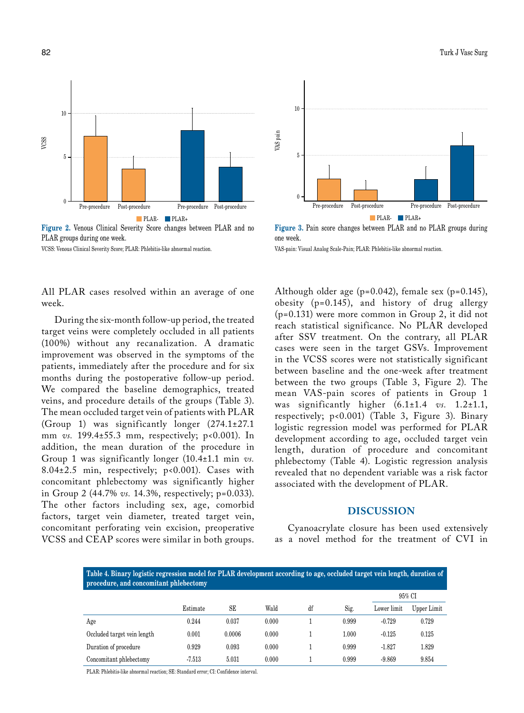

**Figure 2.** Venous Clinical Severity Score changes between PLAR and no PLAR groups during one week.

VCSS: Venous Clinical Severity Score; PLAR: Phlebitis-like abnormal reaction.

All PLAR cases resolved within an average of one week.

During the six-month follow-up period, the treated target veins were completely occluded in all patients (100%) without any recanalization. A dramatic improvement was observed in the symptoms of the patients, immediately after the procedure and for six months during the postoperative follow-up period. We compared the baseline demographics, treated veins, and procedure details of the groups (Table 3). The mean occluded target vein of patients with PLAR (Group 1) was significantly longer (274.1±27.1 mm *vs.* 199.4±55.3 mm, respectively; p<0.001). In addition, the mean duration of the procedure in Group 1 was significantly longer (10.4±1.1 min *vs.* 8.04±2.5 min, respectively; p<0.001). Cases with concomitant phlebectomy was significantly higher in Group 2 (44.7% *vs.* 14.3%, respectively; p=0.033). The other factors including sex, age, comorbid factors, target vein diameter, treated target vein, concomitant perforating vein excision, preoperative VCSS and CEAP scores were similar in both groups.



**Figure 3.** Pain score changes between PLAR and no PLAR groups during one week.

VAS-pain: Visual Analog Scale-Pain; PLAR: Phlebitis-like abnormal reaction.

Although older age (p=0.042), female sex (p=0.145), obesity (p=0.145), and history of drug allergy (p=0.131) were more common in Group 2, it did not reach statistical significance. No PLAR developed after SSV treatment. On the contrary, all PLAR cases were seen in the target GSVs. Improvement in the VCSS scores were not statistically significant between baseline and the one-week after treatment between the two groups (Table 3, Figure 2). The mean VAS-pain scores of patients in Group 1 was significantly higher (6.1±1.4 *vs.* 1.2±1.1, respectively; p<0.001) (Table 3, Figure 3). Binary logistic regression model was performed for PLAR development according to age, occluded target vein length, duration of procedure and concomitant phlebectomy (Table 4). Logistic regression analysis revealed that no dependent variable was a risk factor associated with the development of PLAR.

### **DISCUSSION**

Cyanoacrylate closure has been used extensively as a novel method for the treatment of CVI in

| Table 4. Binary logistic regression model for PLAR development according to age, occluded target vein length, duration of<br>procedure, and concomitant phlebectomy |          |        |       |    |       |             |             |  |
|---------------------------------------------------------------------------------------------------------------------------------------------------------------------|----------|--------|-------|----|-------|-------------|-------------|--|
|                                                                                                                                                                     |          |        |       |    |       | 95% CI      |             |  |
|                                                                                                                                                                     | Estimate | SE     | Wald  | df | Sig.  | Lower limit | Upper Limit |  |
| Age                                                                                                                                                                 | 0.244    | 0.037  | 0.000 |    | 0.999 | $-0.729$    | 0.729       |  |
| Occluded target vein length                                                                                                                                         | 0.001    | 0.0006 | 0.000 |    | 1.000 | $-0.125$    | 0.125       |  |
| Duration of procedure                                                                                                                                               | 0.929    | 0.093  | 0.000 |    | 0.999 | $-1.827$    | 1.829       |  |
| Concomitant phlebectomy                                                                                                                                             | $-7.513$ | 5.031  | 0.000 |    | 0.999 | $-9.869$    | 9.854       |  |

PLAR: Phlebitis-like abnormal reaction; SE: Standard error; CI: Confidence interval.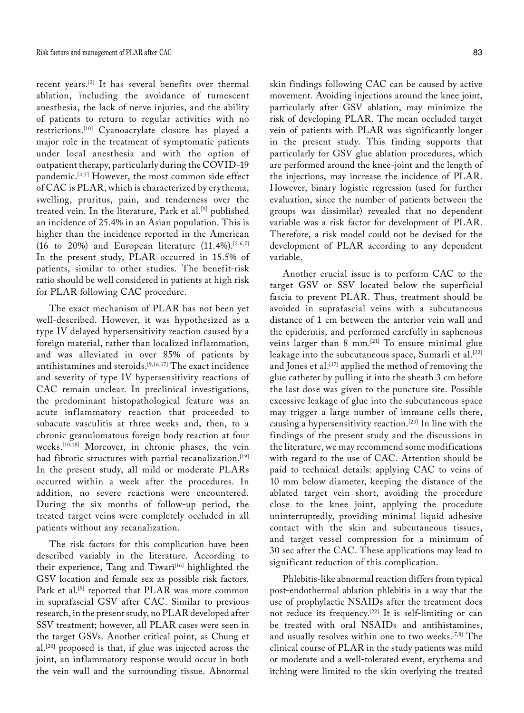recent years.[2] It has several benefits over thermal ablation, including the avoidance of tumescent anesthesia, the lack of nerve injuries, and the ability of patients to return to regular activities with no restrictions.[10] Cyanoacrylate closure has played a major role in the treatment of symptomatic patients under local anesthesia and with the option of outpatient therapy, particularly during the COVID-19 pandemic.<sup>[4,5]</sup> However, the most common side effect of CAC is PLAR, which is characterized by erythema, swelling, pruritus, pain, and tenderness over the treated vein. In the literature, Park et al.<sup>[9]</sup> published an incidence of 25.4% in an Asian population. This is higher than the incidence reported in the American (16 to 20%) and European literature  $(11.4\%)$ . [2,6,7] In the present study, PLAR occurred in 15.5% of patients, similar to other studies. The benefit-risk ratio should be well considered in patients at high risk for PLAR following CAC procedure.

The exact mechanism of PLAR has not been yet well-described. However, it was hypothesized as a type IV delayed hypersensitivity reaction caused by a foreign material, rather than localized inflammation, and was alleviated in over 85% of patients by antihistamines and steroids.[9,16,17] The exact incidence and severity of type IV hypersensitivity reactions of CAC remain unclear. In preclinical investigations, the predominant histopathological feature was an acute inflammatory reaction that proceeded to subacute vasculitis at three weeks and, then, to a chronic granulomatous foreign body reaction at four weeks.[10,18] Moreover, in chronic phases, the vein had fibrotic structures with partial recanalization.<sup>[19]</sup> In the present study, all mild or moderate PLARs occurred within a week after the procedures. In addition, no severe reactions were encountered. During the six months of follow-up period, the treated target veins were completely occluded in all patients without any recanalization.

The risk factors for this complication have been described variably in the literature. According to their experience, Tang and Tiwari<sup>[16]</sup> highlighted the GSV location and female sex as possible risk factors. Park et al.<sup>[9]</sup> reported that PLAR was more common in suprafascial GSV after CAC. Similar to previous research, in the present study, no PLAR developed after SSV treatment; however, all PLAR cases were seen in the target GSVs. Another critical point, as Chung et al.[20] proposed is that, if glue was injected across the joint, an inflammatory response would occur in both the vein wall and the surrounding tissue. Abnormal skin findings following CAC can be caused by active movement. Avoiding injections around the knee joint, particularly after GSV ablation, may minimize the risk of developing PLAR. The mean occluded target vein of patients with PLAR was significantly longer in the present study. This finding supports that particularly for GSV glue ablation procedures, which are performed around the knee-joint and the length of the injections, may increase the incidence of PLAR. However, binary logistic regression (used for further evaluation, since the number of patients between the groups was dissimilar) revealed that no dependent variable was a risk factor for development of PLAR. Therefore, a risk model could not be devised for the development of PLAR according to any dependent variable.

Another crucial issue is to perform CAC to the target GSV or SSV located below the superficial fascia to prevent PLAR. Thus, treatment should be avoided in suprafascial veins with a subcutaneous distance of 1 cm between the anterior vein wall and the epidermis, and performed carefully in saphenous veins larger than 8 mm.[21] To ensure minimal glue leakage into the subcutaneous space, Sumarli et al.<sup>[22]</sup> and Jones et al.<sup>[17]</sup> applied the method of removing the glue catheter by pulling it into the sheath 3 cm before the last dose was given to the puncture site. Possible excessive leakage of glue into the subcutaneous space may trigger a large number of immune cells there, causing a hypersensitivity reaction.[23] In line with the findings of the present study and the discussions in the literature, we may recommend some modifications with regard to the use of CAC. Attention should be paid to technical details: applying CAC to veins of 10 mm below diameter, keeping the distance of the ablated target vein short, avoiding the procedure close to the knee joint, applying the procedure uninterruptedly, providing minimal liquid adhesive contact with the skin and subcutaneous tissues, and target vessel compression for a minimum of 30 sec after the CAC. These applications may lead to significant reduction of this complication.

Phlebitis-like abnormal reaction differs from typical post-endothermal ablation phlebitis in a way that the use of prophylactic NSAIDs after the treatment does not reduce its frequency.[22] It is self-limiting or can be treated with oral NSAIDs and antihistamines, and usually resolves within one to two weeks.[7,8] The clinical course of PLAR in the study patients was mild or moderate and a well-tolerated event, erythema and itching were limited to the skin overlying the treated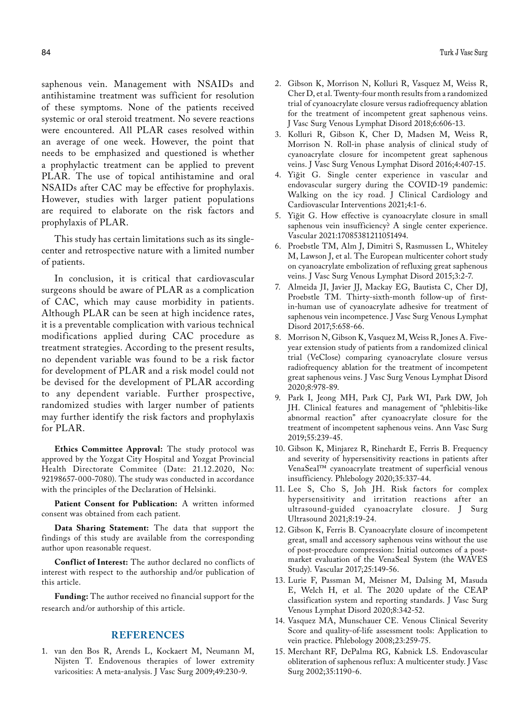saphenous vein. Management with NSAIDs and antihistamine treatment was sufficient for resolution of these symptoms. None of the patients received systemic or oral steroid treatment. No severe reactions were encountered. All PLAR cases resolved within an average of one week. However, the point that needs to be emphasized and questioned is whether a prophylactic treatment can be applied to prevent PLAR. The use of topical antihistamine and oral NSAIDs after CAC may be effective for prophylaxis. However, studies with larger patient populations are required to elaborate on the risk factors and prophylaxis of PLAR.

This study has certain limitations such as its singlecenter and retrospective nature with a limited number of patients.

In conclusion, it is critical that cardiovascular surgeons should be aware of PLAR as a complication of CAC, which may cause morbidity in patients. Although PLAR can be seen at high incidence rates, it is a preventable complication with various technical modifications applied during CAC procedure as treatment strategies. According to the present results, no dependent variable was found to be a risk factor for development of PLAR and a risk model could not be devised for the development of PLAR according to any dependent variable. Further prospective, randomized studies with larger number of patients may further identify the risk factors and prophylaxis for PLAR.

**Ethics Committee Approval:** The study protocol was approved by the Yozgat City Hospital and Yozgat Provincial Health Directorate Commitee (Date: 21.12.2020, No: 92198657-000-7080). The study was conducted in accordance with the principles of the Declaration of Helsinki.

**Patient Consent for Publication:** A written informed consent was obtained from each patient.

**Data Sharing Statement:** The data that support the findings of this study are available from the corresponding author upon reasonable request.

**Conflict of Interest:** The author declared no conflicts of interest with respect to the authorship and/or publication of this article.

**Funding:** The author received no financial support for the research and/or authorship of this article.

## **REFERENCES**

1. van den Bos R, Arends L, Kockaert M, Neumann M, Nijsten T. Endovenous therapies of lower extremity varicosities: A meta-analysis. J Vasc Surg 2009;49:230-9.

- 2. Gibson K, Morrison N, Kolluri R, Vasquez M, Weiss R, Cher D, et al. Twenty-four month results from a randomized trial of cyanoacrylate closure versus radiofrequency ablation for the treatment of incompetent great saphenous veins. J Vasc Surg Venous Lymphat Disord 2018;6:606-13.
- 3. Kolluri R, Gibson K, Cher D, Madsen M, Weiss R, Morrison N. Roll-in phase analysis of clinical study of cyanoacrylate closure for incompetent great saphenous veins. J Vasc Surg Venous Lymphat Disord 2016;4:407-15.
- 4. Yiğit G. Single center experience in vascular and endovascular surgery during the COVID-19 pandemic: Walking on the icy road. J Clinical Cardiology and Cardiovascular Interventions 2021;4:1-6.
- 5. Yiğit G. How effective is cyanoacrylate closure in small saphenous vein insufficiency? A single center experience. Vascular 2021:17085381211051494.
- 6. Proebstle TM, Alm J, Dimitri S, Rasmussen L, Whiteley M, Lawson J, et al. The European multicenter cohort study on cyanoacrylate embolization of refluxing great saphenous veins. J Vasc Surg Venous Lymphat Disord 2015;3:2-7.
- 7. Almeida JI, Javier JJ, Mackay EG, Bautista C, Cher DJ, Proebstle TM. Thirty-sixth-month follow-up of firstin-human use of cyanoacrylate adhesive for treatment of saphenous vein incompetence. J Vasc Surg Venous Lymphat Disord 2017;5:658-66.
- 8. Morrison N, Gibson K, Vasquez M, Weiss R, Jones A. Fiveyear extension study of patients from a randomized clinical trial (VeClose) comparing cyanoacrylate closure versus radiofrequency ablation for the treatment of incompetent great saphenous veins. J Vasc Surg Venous Lymphat Disord 2020;8:978-89.
- 9. Park I, Jeong MH, Park CJ, Park WI, Park DW, Joh JH. Clinical features and management of "phlebitis-like abnormal reaction" after cyanoacrylate closure for the treatment of incompetent saphenous veins. Ann Vasc Surg 2019;55:239-45.
- 10. Gibson K, Minjarez R, Rinehardt E, Ferris B. Frequency and severity of hypersensitivity reactions in patients after VenaSeal™ cyanoacrylate treatment of superficial venous insufficiency. Phlebology 2020;35:337-44.
- 11. Lee S, Cho S, Joh JH. Risk factors for complex hypersensitivity and irritation reactions after an ultrasound-guided cyanoacrylate closure. J Surg Ultrasound 2021;8:19-24.
- 12. Gibson K, Ferris B. Cyanoacrylate closure of incompetent great, small and accessory saphenous veins without the use of post-procedure compression: Initial outcomes of a postmarket evaluation of the VenaSeal System (the WAVES Study). Vascular 2017;25:149-56.
- 13. Lurie F, Passman M, Meisner M, Dalsing M, Masuda E, Welch H, et al. The 2020 update of the CEAP classification system and reporting standards. J Vasc Surg Venous Lymphat Disord 2020;8:342-52.
- 14. Vasquez MA, Munschauer CE. Venous Clinical Severity Score and quality-of-life assessment tools: Application to vein practice. Phlebology 2008;23:259-75.
- 15. Merchant RF, DePalma RG, Kabnick LS. Endovascular obliteration of saphenous reflux: A multicenter study. J Vasc Surg 2002;35:1190-6.